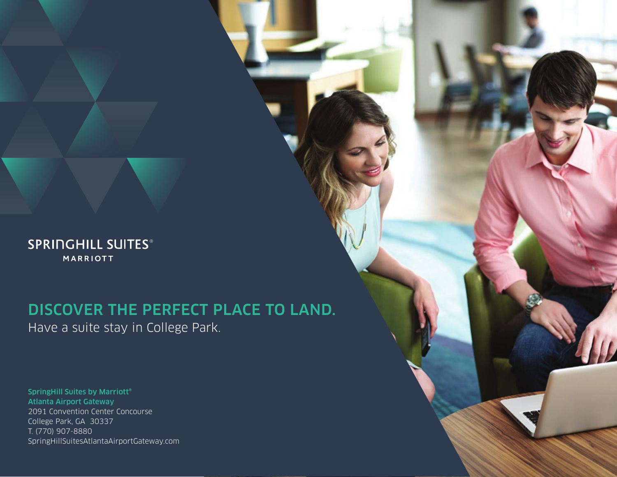**SPRINGHILL SUITES® MARRIOTT** 

# DISCOVER THE PERFECT PLACE TO LAND. Have a suite stay in College Park.

SpringHill Suites by Marriott® Atlanta Airport Gateway 2091 Convention Center Concourse College Park, GA 30337 T. (770) 907-8880 SpringHillSuitesAtlantaAirportGateway.com